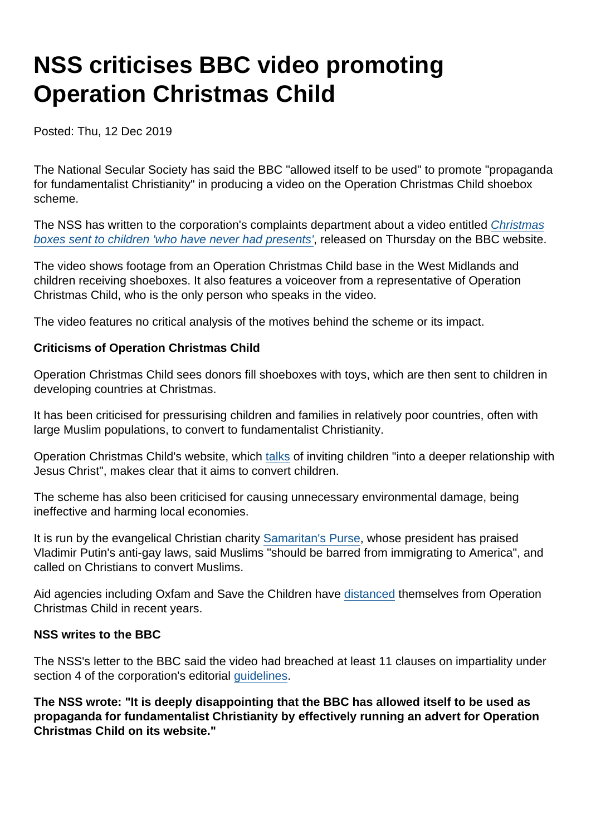## NSS criticises BBC video promoting Operation Christmas Child

Posted: Thu, 12 Dec 2019

The National Secular Society has said the BBC "allowed itself to be used" to promote "propaganda for fundamentalist Christianity" in producing a video on the Operation Christmas Child shoebox scheme.

The NSS has written to the corporation's complaints department about a video entitled [Christmas](https://www.bbc.co.uk/news/av/uk-england-birmingham-50747053/christmas-boxes-sent-to-children-who-have-never-had-presents) [boxes sent to children 'who have never had presents'](https://www.bbc.co.uk/news/av/uk-england-birmingham-50747053/christmas-boxes-sent-to-children-who-have-never-had-presents), released on Thursday on the BBC website.

The video shows footage from an Operation Christmas Child base in the West Midlands and children receiving shoeboxes. It also features a voiceover from a representative of Operation Christmas Child, who is the only person who speaks in the video.

The video features no critical analysis of the motives behind the scheme or its impact.

Criticisms of Operation Christmas Child

Operation Christmas Child sees donors fill shoeboxes with toys, which are then sent to children in developing countries at Christmas.

It has been criticised for pressurising children and families in relatively poor countries, often with large Muslim populations, to convert to fundamentalist Christianity.

Operation Christmas Child's website, which [talks](https://www.samaritans-purse.org.uk/what-we-do/the-greatest-journey/) of inviting children "into a deeper relationship with Jesus Christ", makes clear that it aims to convert children.

The scheme has also been criticised for causing unnecessary environmental damage, being ineffective and harming local economies.

It is run by the evangelical Christian charity [Samaritan's Purse](https://www.secularism.org.uk/opinion/2019/09/operation-christmas-child-does-its-charity-benefit-the-public), whose president has praised Vladimir Putin's anti-gay laws, said Muslims "should be barred from immigrating to America", and called on Christians to convert Muslims.

Aid agencies including Oxfam and Save the Children have [distanced](https://www.secularism.org.uk/charities/operation-christmas-child.html) themselves from Operation Christmas Child in recent years.

NSS writes to the BBC

The NSS's letter to the BBC said the video had breached at least 11 clauses on impartiality under section 4 of the corporation's editorial [guidelines.](https://www.bbc.com/editorialguidelines/guidelines/impartiality/guidelines)

The NSS wrote: "It is deeply disappointing that the BBC has allowed itself to be used as propaganda for fundamentalist Christianity by effectively running an advert for Operation Christmas Child on its website."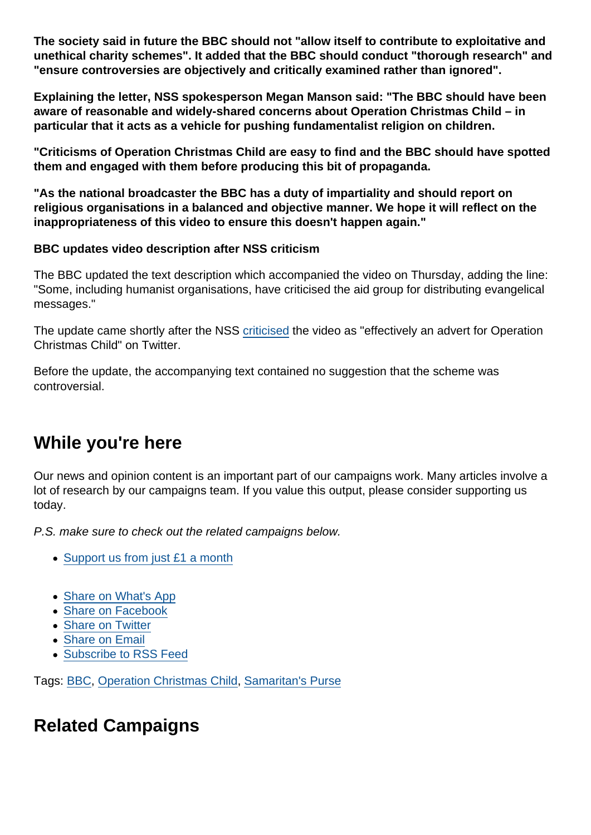The society said in future the BBC should not "allow itself to contribute to exploitative and unethical charity schemes". It added that the BBC should conduct "thorough research" and "ensure controversies are objectively and critically examined rather than ignored".

Explaining the letter, NSS spokesperson Megan Manson said: "The BBC should have been aware of reasonable and widely-shared concerns about Operation Christmas Child – in particular that it acts as a vehicle for pushing fundamentalist religion on children.

"Criticisms of Operation Christmas Child are easy to find and the BBC should have spotted them and engaged with them before producing this bit of propaganda.

"As the national broadcaster the BBC has a duty of impartiality and should report on religious organisations in a balanced and objective manner. We hope it will reflect on the inappropriateness of this video to ensure this doesn't happen again."

BBC updates video description after NSS criticism

The BBC updated the text description which accompanied the video on Thursday, adding the line: "Some, including humanist organisations, have criticised the aid group for distributing evangelical messages."

The update came shortly after the NSS [criticised](https://twitter.com/NatSecSoc/status/1205067852585324544) the video as "effectively an advert for Operation Christmas Child" on Twitter.

Before the update, the accompanying text contained no suggestion that the scheme was controversial.

## While you're here

Our news and opinion content is an important part of our campaigns work. Many articles involve a lot of research by our campaigns team. If you value this output, please consider supporting us today.

P.S. make sure to check out the related campaigns below.

- [Support us from just £1 a month](https://www.secularism.org.uk/donate.html)
- [Share on What's App](whatsapp://send?text=http://www.secularism.org.uk/news/2019/12/nss-criticises-bbc-video-promoting-operation-christmas-child?format=pdf)
- [Share on Facebook](https://www.facebook.com/sharer/sharer.php?u=http://www.secularism.org.uk/news/2019/12/nss-criticises-bbc-video-promoting-operation-christmas-child?format=pdf&t=NSS+criticises+BBC+video+promoting+Operation+Christmas+Child)
- **[Share on Twitter](https://twitter.com/intent/tweet?url=http://www.secularism.org.uk/news/2019/12/nss-criticises-bbc-video-promoting-operation-christmas-child?format=pdf&text=NSS+criticises+BBC+video+promoting+Operation+Christmas+Child&via=NatSecSoc)**
- [Share on Email](https://www.secularism.org.uk/share.html?url=http://www.secularism.org.uk/news/2019/12/nss-criticises-bbc-video-promoting-operation-christmas-child?format=pdf&title=NSS+criticises+BBC+video+promoting+Operation+Christmas+Child)
- [Subscribe to RSS Feed](/mnt/web-data/www/cp-nss/feeds/rss/news)

Tags: [BBC](https://www.secularism.org.uk/news/tags/BBC), [Operation Christmas Child](https://www.secularism.org.uk/news/tags/Operation+Christmas+Child), [Samaritan's Purse](https://www.secularism.org.uk/news/tags/Samaritan)

## Related Campaigns